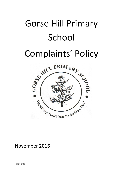# Gorse Hill Primary School

## Complaints' Policy



### November 2016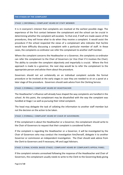#### **THE STAGES OF THE COMPLAINT**

#### STAGE 1 (INFORMAL): COMPLAINT HEARD BY STAFF MEMBER

It is in everyone's interest that complaints are resolved at the earliest possible stage. The experience of the first contact between the complainant and the school can be crucial in determining whether the complaint will escalate. To that end, if staff are made aware of the procedures, they will know what to do when they receive a complaint. It would assist the procedure if the school respected the views of a complainant who indicates that he/she would have difficulty discussing a complaint with a particular member of staff. In these cases, the complaints co-ordinator can refer the complainant to another staff member.

Where the complaint concerns the Headteacher or a Governor, the complaints co-ordinator can refer the complainant to the Chair of Governors (or Vice Chair if it involves the Chair). The ability to consider the complaint objectively and impartially is crucial. Where the first approach is made to a governor, the next step would be to refer the complainant to the appropriate person and advise them about the procedure.

Governors should not act unilaterally on an individual complaint outside the formal procedure or be involved at the early stages in case they are needed to sit on a panel at a later stage of the procedure. Governors should seek advice from the Clerking Service.

#### STAGE 2 (FORMAL): COMPLAINT HEARD BY HEADTEACHER

The Headteacher's influence will already have shaped the way complaints are handled in the school. At this point, the complainant may be dissatisfied with the way the complaint was handled at Stage 1 as well as pursuing their initial complaint.

The head may delegate the task of collating the information to another staff member but not the decision on the action to be taken.

#### STAGE 2 (FORMAL): COMPLAINT HEARD BY CHAIR OF GOVERNORS

If the complainant is about the Headteacher or a Governor, the complainant should write to the Chair of Governors to request that their complaint is considered further.

If the complaint is regarding the Headteacher or a Governor, it will be investigated by the Chair of Governors who may conduct the investigation him/herself, delegate it to another Governor or commission an independent investigation. The Chair should seek advice from the Clerk to Governors and if necessary, HR and Legal Advisors.

#### STAGE 3 (FINAL SCHOOL BASED STAGE): COMPLAINT HEARD BY COMPLAINTS APPEAL PANEL

If the complaint remains unresolved following the response of the Headteacher and Chair of Governors, the complainant usually needs to write to the Clerk to the Governing Body giving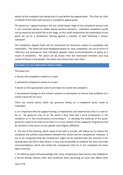details of the complaint and asking that it is put before the appeal panel. The Chair (or Clerk on behalf of the Chair) will convene a complaints appeal panel.

The governors' appeal hearing is the last school-based stage of the complaints process and is not convened merely to rubber-stamp previous decisions. Individual complaints would not be heard by the whole GB at any stage, as this could compromise the impartiality of any panel set up for a disciplinary hearing against a member of staff following a serious complaint.

The Complaints Appeal Panel will be constituted by Governors subject to availability and impartiality. The Panel will have delegated powers to; hear complaints; set out its terms of reference and procedures; hear individual appeals; make recommendations on policy as a result of complaints. The panel can be drawn from the nominated members and may consist of three or five people. The panel may choose their own Chair.

#### **THE REMIT OF THE COMPLAINTS APPEAL PANEL**

The panel can:

- dismiss the complaint in whole or in part;
- uphold the complaint in whole or in part;
- decide on the appropriate action to be taken to resolve the complaint;

• recommend changes to the school's systems or procedures to ensure that problems of a similar nature do not recur.

#### *There are several points which any governor sitting on a complaints panel needs to remember:*

a. It is important that the appeal hearing is independent and impartial and that it is seen to be so. No governor may sit on the panel if they have had a prior involvement in the complaint or in the circumstances surrounding it. In deciding the make-up of the panel, governors need to try and ensure that it is a cross-section of the categories of governor and be sensitive to the issues of race, gender and religious affiliation.

b. The aim of the hearing, which needs to be held in private, will always be to resolve the complaint and achieve reconciliation between the school and the complainant. However, it has to be recognised that the complainant might not be satisfied with the outcome if the hearing does not find in their favour. It may only be possible to establish the facts and make recommendations which will satisfy the complainant that his or her complaint has been taken seriously.

c. An effective panel will acknowledge that many complainants feel nervous and inhibited in a formal setting. Parents often feel emotional when discussing an issue that affects their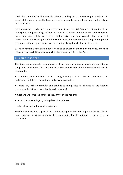child. The panel Chair will ensure that the proceedings are as welcoming as possible. The layout of the room will set the tone and care is needed to ensure the setting is informal and not adversarial.

d. Extra care needs to be taken when the complainant is a child. Careful consideration of the atmosphere and proceedings will ensure that the child does not feel intimidated. The panel needs to be aware of the views of the child and give them equal consideration to those of adults. Where the child's parent is the complainant, it would be helpful to give the parent the opportunity to say which parts of the hearing, if any, the child needs to attend.

e. The governors sitting on the panel need to be aware of the complaints policy and their roles and responsibilities seeking advice where necessary from the Clerk.

#### **THE ROLE OF THE CLERK**

The department strongly recommends that any panel or group of governors considering complaints be clerked. The clerk would be the contact point for the complainant and be required to:

• set the date, time and venue of the hearing, ensuring that the dates are convenient to all parties and that the venue and proceedings are accessible;

• collate any written material and send it to the parties in advance of the hearing (recommended at least five school days in advance);

• meet and welcome the parties as they arrive at the hearing;

• record the proceedings by taking discursive minutes;

• notify all parties of the panel's decision.

The Clerk should share copies of the panel meeting minutes with all parties involved in the panel hearing, providing a reasonable opportunity for the minutes to be agreed or challenged.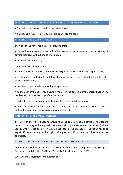#### **THE ROLE OF THE CHAIR OF THE GOVERNING BODY OR THE NOMINATED GOVERNOR**

- Check that the correct procedure has been followed;
- If a hearing is requested, notify the clerk to arrange the panel.

#### **THE ROLE OF THE CHAIR OF THE PANEL**

The Chair of the Panel has a key role, ensuring that:

• the remit of the panel is explained to the parties and each party has the opportunity of putting their case without undue interruption;

- the issues are addressed;
- key findings of fact are made;
- parents and others who may not be used to speaking at such a hearing are put at ease;

• the hearing is conducted in an informal manner with each party treating the other with respect and courtesy;

• the panel is open minded and acting independently;

• no member of the panel has a vested interest in the outcome of the proceedings or any involvement in an earlier stage of the procedure;

- each side is given the opportunity to state their case and ask questions;
- written material is seen by all parties. If a new issue arises it would be useful to give all parties the opportunity to consider and comment on it.

#### **NOTIFICATION OF THE PANEL'S DECISION**

The Chair of the Panel needs to ensure that the complainant is notified of the panel's decision, in writing, with the panel's response (including the reasons for the decision); this is usually within a set deadline which is publicised in the procedure. The letter needs to explain if there are any further rights of appeal and, if so, to whom they need to be addressed.

#### THE FINAL STAGE OF APPEAL IS TO THE SECRETARY OF STATE FOR EDUCATION.

Complainants should be advised to write to The School Complaints Unit (SCU) at: Department for Education 2nd Floor, Piccadilly Gate Manchester M1 2WD

What will the Department for Education do?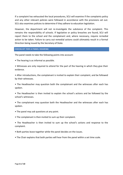If a complaint has exhausted the local procedures, SCU will examine if the complaints policy and any other relevant policies were followed in accordance with the provisions set out. SCU also examines policies to determine if they adhere to education legislation.

However, the department will not re-investigate the substance of the complaint. This remains the responsibility of schools. If legislative or policy breaches are found, SCU will report them to the school and the complainant and, where necessary, require remedial action to be taken. Failure to carry out remedial actions could ultimately result in a formal Direction being issued by the Secretary of State.

#### **CHECKLIST FOR A PANEL HEARING**

The panel needs to take the following points into account:

- The hearing is as informal as possible.
- Witnesses are only required to attend for the part of the hearing in which they give their evidence.
- After introductions, the complainant is invited to explain their complaint, and be followed by their witnesses.
- The Headteacher may question both the complainant and the witnesses after each has spoken.
- The Headteacher is then invited to explain the school's actions and be followed by the school's witnesses.
- The complainant may question both the Headteacher and the witnesses after each has spoken.
- The panel may ask questions at any point.
- The complainant is then invited to sum up their complaint.
- The Headteacher is then invited to sum up the school's actions and response to the complaint.
- Both parties leave together while the panel decides on the issues.
- The Chair explains that both parties will hear from the panel within a set time scale.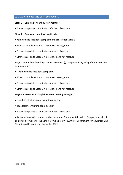#### **SUMMARY FOR DEALING WITH COMPLAINTS**

#### **Stage 1 – Complaint heard by staff member**

Ensure complaints co-ordinator informed of outcome.

#### **Stage 2 – Complaint heard by Headteacher**

- Acknowledge receipt of complaint and process for Stage 2
- Write to complainant with outcome of investigation
- Ensure complaints co-ordinator informed of outcome
- Offer escalation to Stage 3 if dissatisfied and not resolved

Stage 2 - Complaint heard by Chair of Governors (*If Complaint is regarding the Headteacher or a Governor)*

- Acknowledge receipt of complaint
- Write to complainant with outcome of investigation
- Ensure complaints co-ordinator informed of outcome
- Offer escalation to Stage 3 if dissatisfied and not resolved

#### **Stage 3 – Governor's complaints panel meeting arranged**

- Issue letter inviting complainant to meeting
- Issue letter confirming panel decision
- Ensure complaints co-ordinator informed of outcome

 Advise of escalation routes to the Secretary of State for Education. Complainants should be advised to write to The School Complaints Unit (SCU) at: Department for Education 2nd Floor, Piccadilly Gate Manchester M1 2WD.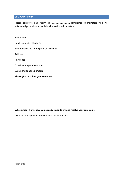#### **COMPLAINT FORM**

Please complete and return to …………………………..(complaints co-ordinator) who will acknowledge receipt and explain what action will be taken.

Your name:

Pupil's name (if relevant):

Your relationship to the pupil (if relevant):

Address:

Postcode:

Day time telephone number:

Evening telephone number:

**Please give details of your complaint.**

#### **What action, if any, have you already taken to try and resolve your complaint.**

(Who did you speak to and what was the response)?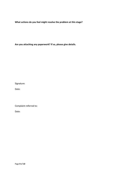**What actions do you feel might resolve the problem at this stage?**

**Are you attaching any paperwork? If so, please give details.**

Signature:

Date:

Complaint referred to:

Date: